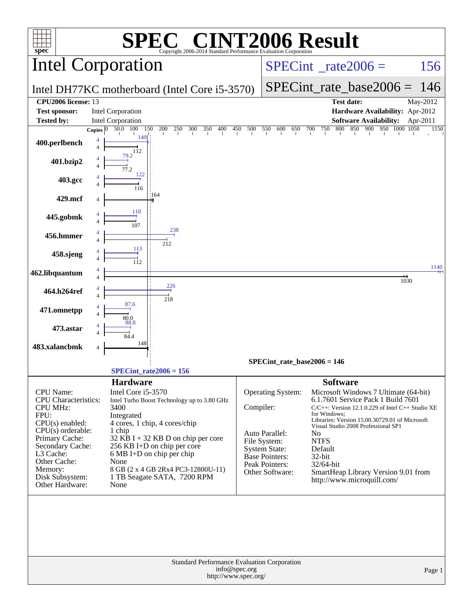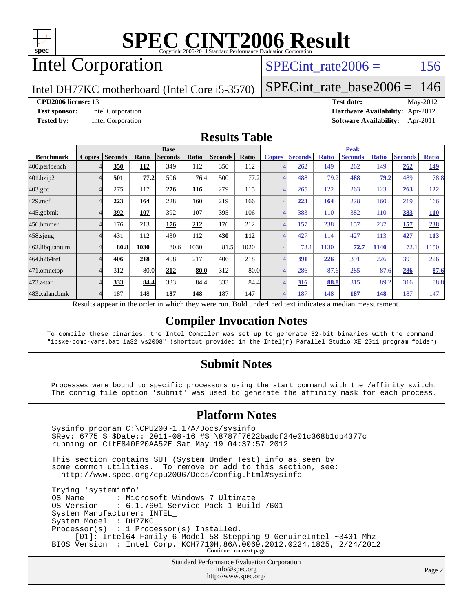

# Intel Corporation

### SPECint rate $2006 = 156$

Intel DH77KC motherboard (Intel Core i5-3570)

[SPECint\\_rate\\_base2006 =](http://www.spec.org/auto/cpu2006/Docs/result-fields.html#SPECintratebase2006) 146

**[CPU2006 license:](http://www.spec.org/auto/cpu2006/Docs/result-fields.html#CPU2006license)** 13 **[Test date:](http://www.spec.org/auto/cpu2006/Docs/result-fields.html#Testdate)** May-2012 **[Test sponsor:](http://www.spec.org/auto/cpu2006/Docs/result-fields.html#Testsponsor)** Intel Corporation **[Hardware Availability:](http://www.spec.org/auto/cpu2006/Docs/result-fields.html#HardwareAvailability)** Apr-2012 **[Tested by:](http://www.spec.org/auto/cpu2006/Docs/result-fields.html#Testedby)** Intel Corporation **[Software Availability:](http://www.spec.org/auto/cpu2006/Docs/result-fields.html#SoftwareAvailability)** Apr-2011

### **[Results Table](http://www.spec.org/auto/cpu2006/Docs/result-fields.html#ResultsTable)**

|                                                                                                                                                               | <b>Base</b>   |                |       |                |       |                |            |               | <b>Peak</b>    |              |                |              |                |              |  |
|---------------------------------------------------------------------------------------------------------------------------------------------------------------|---------------|----------------|-------|----------------|-------|----------------|------------|---------------|----------------|--------------|----------------|--------------|----------------|--------------|--|
| <b>Benchmark</b>                                                                                                                                              | <b>Copies</b> | <b>Seconds</b> | Ratio | <b>Seconds</b> | Ratio | <b>Seconds</b> | Ratio      | <b>Copies</b> | <b>Seconds</b> | <b>Ratio</b> | <b>Seconds</b> | <b>Ratio</b> | <b>Seconds</b> | <b>Ratio</b> |  |
| 400.perlbench                                                                                                                                                 |               | 350            | 112   | 349            | 112   | 350            | 112        |               | 262            | 149          | 262            | 149          | 262            | <u>149</u>   |  |
| 401.bzip2                                                                                                                                                     |               | 501            | 77.2  | 506            | 76.4  | 500            | 77.2       |               | 488            | 79.2         | 488            | 79.2         | 489            | 78.8         |  |
| $403.\mathrm{gcc}$                                                                                                                                            |               | 275            | 117   | 276            | 116   | 279            | 115        |               | 265            | 122          | 263            | 123          | 263            | 122          |  |
| 429.mcf                                                                                                                                                       |               | 223            | 164   | 228            | 160   | 219            | 166        |               | 223            | 164          | 228            | 160          | 219            | 166          |  |
| $445$ .gobm $k$                                                                                                                                               |               | 392            | 107   | 392            | 107   | 395            | 106        |               | 383            | 110          | 382            | 110          | 383            | <b>110</b>   |  |
| 456.hmmer                                                                                                                                                     |               | 176            | 213   | 176            | 212   | 176            | 212        |               | 157            | 238          | 157            | 237          | 157            | 238          |  |
| $458$ .sjeng                                                                                                                                                  |               | 431            | 112   | 430            | 112   | 430            | <b>112</b> |               | 427            | 114          | 427            | 113          | 427            | <b>113</b>   |  |
| 462.libquantum                                                                                                                                                |               | 80.8           | 1030  | 80.6           | 1030  | 81.5           | 1020       |               | 73.1           | 1130         | 72.7           | 1140         | 72.1           | 1150         |  |
| 464.h264ref                                                                                                                                                   |               | 406            | 218   | 408            | 217   | 406            | 218        |               | 391            | 226          | 391            | 226          | 391            | 226          |  |
| 471.omnetpp                                                                                                                                                   |               | 312            | 80.0  | 312            | 80.0  | 312            | 80.0       |               | 286            | 87.6         | 285            | 87.6         | 286            | 87.6         |  |
| 473.astar                                                                                                                                                     |               | 333            | 84.4  | 333            | 84.4  | 333            | 84.4       |               | 316            | 88.8         | 315            | 89.2         | 316            | 88.8         |  |
| 483.xalancbmk                                                                                                                                                 |               | 187            | 148   | 187            | 148   | 187            | 147        |               | 187            | 148          | 187            | 148          | 187            | 147          |  |
| $-1.5 - 1.7 - 1.1$<br>$\mathbf{D}$ $\mathbf{D}$<br>1.11.1<br>$\mathbf{D}$ = 1.1 = = 1. = 1.1 = = 1.1 = 1.1<br><b>Contract Contract Contract Contract</b><br>. |               |                |       |                |       |                |            |               |                |              |                |              |                |              |  |

Results appear in the [order in which they were run.](http://www.spec.org/auto/cpu2006/Docs/result-fields.html#RunOrder) Bold underlined text [indicates a median measurement.](http://www.spec.org/auto/cpu2006/Docs/result-fields.html#Median)

### **[Compiler Invocation Notes](http://www.spec.org/auto/cpu2006/Docs/result-fields.html#CompilerInvocationNotes)**

To compile these binaries, the Intel Compiler was set up to generate 32-bit binaries with the command: "ipsxe-comp-vars.bat ia32 vs2008" (shortcut provided in the Intel(r) Parallel Studio XE 2011 program folder)

### **[Submit Notes](http://www.spec.org/auto/cpu2006/Docs/result-fields.html#SubmitNotes)**

 Processes were bound to specific processors using the start command with the /affinity switch. The config file option 'submit' was used to generate the affinity mask for each process.

### **[Platform Notes](http://www.spec.org/auto/cpu2006/Docs/result-fields.html#PlatformNotes)**

 Sysinfo program C:\CPU200~1.17A/Docs/sysinfo \$Rev: 6775 \$ \$Date:: 2011-08-16 #\$ \8787f7622badcf24e01c368b1db4377c running on CltE840F20AA52E Sat May 19 04:37:57 2012 This section contains SUT (System Under Test) info as seen by some common utilities. To remove or add to this section, see: <http://www.spec.org/cpu2006/Docs/config.html#sysinfo> Trying 'systeminfo' OS Name : Microsoft Windows 7 Ultimate OS Version : 6.1.7601 Service Pack 1 Build 7601 System Manufacturer: INTEL\_ System Model : DH77KC\_\_ Processor(s) : 1 Processor(s) Installed. [01]: Intel64 Family 6 Model 58 Stepping 9 GenuineIntel ~3401 Mhz BIOS Version : Intel Corp. KCH7710H.86A.0069.2012.0224.1825, 2/24/2012<br>Continued on next page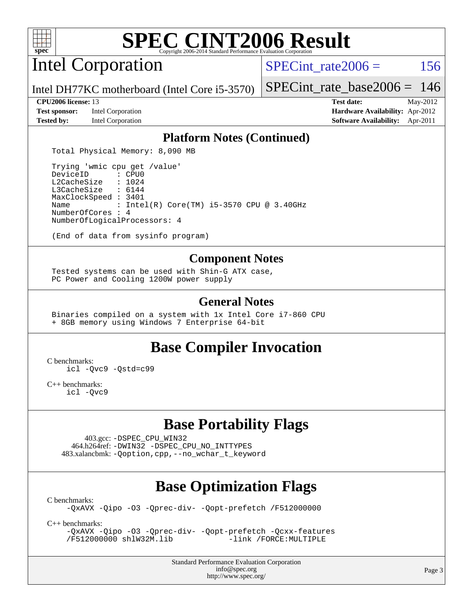

Intel Corporation

SPECint rate $2006 = 156$ 

Intel DH77KC motherboard (Intel Core i5-3570)

**[Test sponsor:](http://www.spec.org/auto/cpu2006/Docs/result-fields.html#Testsponsor)** Intel Corporation **[Hardware Availability:](http://www.spec.org/auto/cpu2006/Docs/result-fields.html#HardwareAvailability)** Apr-2012 **[Tested by:](http://www.spec.org/auto/cpu2006/Docs/result-fields.html#Testedby)** Intel Corporation **[Software Availability:](http://www.spec.org/auto/cpu2006/Docs/result-fields.html#SoftwareAvailability)** Apr-2011

[SPECint\\_rate\\_base2006 =](http://www.spec.org/auto/cpu2006/Docs/result-fields.html#SPECintratebase2006) 146

**[CPU2006 license:](http://www.spec.org/auto/cpu2006/Docs/result-fields.html#CPU2006license)** 13 **[Test date:](http://www.spec.org/auto/cpu2006/Docs/result-fields.html#Testdate)** May-2012

### **[Platform Notes \(Continued\)](http://www.spec.org/auto/cpu2006/Docs/result-fields.html#PlatformNotes)**

Total Physical Memory: 8,090 MB

 Trying 'wmic cpu get /value' DeviceID L2CacheSize : 1024 L3CacheSize : 6144 MaxClockSpeed : 3401 Name : Intel(R) Core(TM) i5-3570 CPU @ 3.40GHz NumberOfCores : 4 NumberOfLogicalProcessors: 4

(End of data from sysinfo program)

### **[Component Notes](http://www.spec.org/auto/cpu2006/Docs/result-fields.html#ComponentNotes)**

 Tested systems can be used with Shin-G ATX case, PC Power and Cooling 1200W power supply

### **[General Notes](http://www.spec.org/auto/cpu2006/Docs/result-fields.html#GeneralNotes)**

 Binaries compiled on a system with 1x Intel Core i7-860 CPU + 8GB memory using Windows 7 Enterprise 64-bit

### **[Base Compiler Invocation](http://www.spec.org/auto/cpu2006/Docs/result-fields.html#BaseCompilerInvocation)**

[C benchmarks](http://www.spec.org/auto/cpu2006/Docs/result-fields.html#Cbenchmarks):

[icl -Qvc9](http://www.spec.org/cpu2006/results/res2012q3/cpu2006-20120702-23377.flags.html#user_CCbase_intel_icc_vc9_6b5741b4033b9dc48df324263d9561bc) [-Qstd=c99](http://www.spec.org/cpu2006/results/res2012q3/cpu2006-20120702-23377.flags.html#user_CCbase_intel_compiler_c99_mode_1a3d110e3041b3ad4466830521bdad2a)

[C++ benchmarks:](http://www.spec.org/auto/cpu2006/Docs/result-fields.html#CXXbenchmarks) [icl -Qvc9](http://www.spec.org/cpu2006/results/res2012q3/cpu2006-20120702-23377.flags.html#user_CXXbase_intel_icc_vc9_6b5741b4033b9dc48df324263d9561bc)

# **[Base Portability Flags](http://www.spec.org/auto/cpu2006/Docs/result-fields.html#BasePortabilityFlags)**

 403.gcc: [-DSPEC\\_CPU\\_WIN32](http://www.spec.org/cpu2006/results/res2012q3/cpu2006-20120702-23377.flags.html#b403.gcc_baseCPORTABILITY_DSPEC_CPU_WIN32) 464.h264ref: [-DWIN32](http://www.spec.org/cpu2006/results/res2012q3/cpu2006-20120702-23377.flags.html#b464.h264ref_baseCPORTABILITY_DWIN32) [-DSPEC\\_CPU\\_NO\\_INTTYPES](http://www.spec.org/cpu2006/results/res2012q3/cpu2006-20120702-23377.flags.html#b464.h264ref_baseCPORTABILITY_DSPEC_CPU_NO_INTTYPES) 483.xalancbmk: [-Qoption,cpp,--no\\_wchar\\_t\\_keyword](http://www.spec.org/cpu2006/results/res2012q3/cpu2006-20120702-23377.flags.html#user_baseCXXPORTABILITY483_xalancbmk_f-no_wchar_t_keyword_ec0ad4495a16b4e858bfcb29d949d25d)

# **[Base Optimization Flags](http://www.spec.org/auto/cpu2006/Docs/result-fields.html#BaseOptimizationFlags)**

[C benchmarks](http://www.spec.org/auto/cpu2006/Docs/result-fields.html#Cbenchmarks):

[-QxAVX](http://www.spec.org/cpu2006/results/res2012q3/cpu2006-20120702-23377.flags.html#user_CCbase_f-QxAVX) [-Qipo](http://www.spec.org/cpu2006/results/res2012q3/cpu2006-20120702-23377.flags.html#user_CCbase_f-Qipo) [-O3](http://www.spec.org/cpu2006/results/res2012q3/cpu2006-20120702-23377.flags.html#user_CCbase_f-O3) [-Qprec-div-](http://www.spec.org/cpu2006/results/res2012q3/cpu2006-20120702-23377.flags.html#user_CCbase_f-Qprec-div-) [-Qopt-prefetch](http://www.spec.org/cpu2006/results/res2012q3/cpu2006-20120702-23377.flags.html#user_CCbase_f-Qprefetch_37c211608666b9dff9380561f602f0a8) [/F512000000](http://www.spec.org/cpu2006/results/res2012q3/cpu2006-20120702-23377.flags.html#user_CCbase_set_stack_space_98438a10eb60aa5f35f4c79d9b9b27b1)

[C++ benchmarks:](http://www.spec.org/auto/cpu2006/Docs/result-fields.html#CXXbenchmarks)

[-QxAVX](http://www.spec.org/cpu2006/results/res2012q3/cpu2006-20120702-23377.flags.html#user_CXXbase_f-QxAVX) [-Qipo](http://www.spec.org/cpu2006/results/res2012q3/cpu2006-20120702-23377.flags.html#user_CXXbase_f-Qipo) [-O3](http://www.spec.org/cpu2006/results/res2012q3/cpu2006-20120702-23377.flags.html#user_CXXbase_f-O3) [-Qprec-div-](http://www.spec.org/cpu2006/results/res2012q3/cpu2006-20120702-23377.flags.html#user_CXXbase_f-Qprec-div-) [-Qopt-prefetch](http://www.spec.org/cpu2006/results/res2012q3/cpu2006-20120702-23377.flags.html#user_CXXbase_f-Qprefetch_37c211608666b9dff9380561f602f0a8) [-Qcxx-features](http://www.spec.org/cpu2006/results/res2012q3/cpu2006-20120702-23377.flags.html#user_CXXbase_f-Qcxx_features_dbf36c8a6dba956e22f1645e4dcd4d98) [/F512000000](http://www.spec.org/cpu2006/results/res2012q3/cpu2006-20120702-23377.flags.html#user_CXXbase_set_stack_space_98438a10eb60aa5f35f4c79d9b9b27b1) [shlW32M.lib](http://www.spec.org/cpu2006/results/res2012q3/cpu2006-20120702-23377.flags.html#user_CXXbase_SmartHeap32_d106338dfda1a055705c9b519e07f096)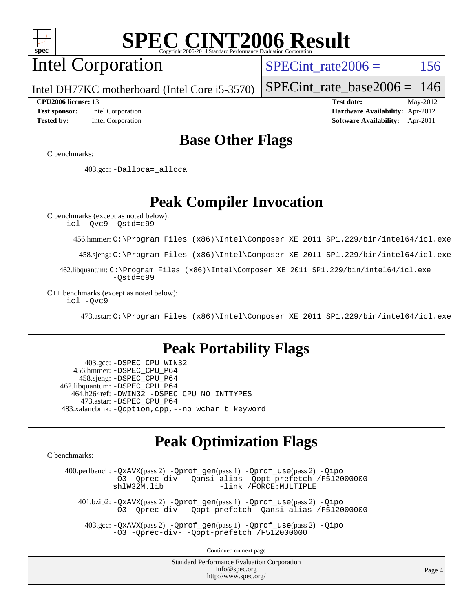

# Intel Corporation

SPECint rate $2006 = 156$ 

Intel DH77KC motherboard (Intel Core i5-3570)

**[Tested by:](http://www.spec.org/auto/cpu2006/Docs/result-fields.html#Testedby)** Intel Corporation **[Software Availability:](http://www.spec.org/auto/cpu2006/Docs/result-fields.html#SoftwareAvailability)** Apr-2011

**[CPU2006 license:](http://www.spec.org/auto/cpu2006/Docs/result-fields.html#CPU2006license)** 13 **[Test date:](http://www.spec.org/auto/cpu2006/Docs/result-fields.html#Testdate)** May-2012 **[Test sponsor:](http://www.spec.org/auto/cpu2006/Docs/result-fields.html#Testsponsor)** Intel Corporation **[Hardware Availability:](http://www.spec.org/auto/cpu2006/Docs/result-fields.html#HardwareAvailability)** Apr-2012

[SPECint\\_rate\\_base2006 =](http://www.spec.org/auto/cpu2006/Docs/result-fields.html#SPECintratebase2006) 146

### **[Base Other Flags](http://www.spec.org/auto/cpu2006/Docs/result-fields.html#BaseOtherFlags)**

[C benchmarks](http://www.spec.org/auto/cpu2006/Docs/result-fields.html#Cbenchmarks):

403.gcc: [-Dalloca=\\_alloca](http://www.spec.org/cpu2006/results/res2012q3/cpu2006-20120702-23377.flags.html#b403.gcc_baseEXTRA_CFLAGS_Dalloca_be3056838c12de2578596ca5467af7f3)

**[Peak Compiler Invocation](http://www.spec.org/auto/cpu2006/Docs/result-fields.html#PeakCompilerInvocation)**

[C benchmarks \(except as noted below\)](http://www.spec.org/auto/cpu2006/Docs/result-fields.html#Cbenchmarksexceptasnotedbelow): [icl -Qvc9](http://www.spec.org/cpu2006/results/res2012q3/cpu2006-20120702-23377.flags.html#user_CCpeak_intel_icc_vc9_6b5741b4033b9dc48df324263d9561bc) [-Qstd=c99](http://www.spec.org/cpu2006/results/res2012q3/cpu2006-20120702-23377.flags.html#user_CCpeak_intel_compiler_c99_mode_1a3d110e3041b3ad4466830521bdad2a)

456.hmmer: [C:\Program Files \(x86\)\Intel\Composer XE 2011 SP1.229/bin/intel64/icl.exe](http://www.spec.org/cpu2006/results/res2012q3/cpu2006-20120702-23377.flags.html#user_peakCCLD456_hmmer_intel_icc_64bit_f8c96779109e8886f4854fc7e9645769)

458.sjeng: [C:\Program Files \(x86\)\Intel\Composer XE 2011 SP1.229/bin/intel64/icl.exe](http://www.spec.org/cpu2006/results/res2012q3/cpu2006-20120702-23377.flags.html#user_peakCCLD458_sjeng_intel_icc_64bit_f8c96779109e8886f4854fc7e9645769)

 462.libquantum: [C:\Program Files \(x86\)\Intel\Composer XE 2011 SP1.229/bin/intel64/icl.exe](http://www.spec.org/cpu2006/results/res2012q3/cpu2006-20120702-23377.flags.html#user_peakCCLD462_libquantum_intel_icc_64bit_f8c96779109e8886f4854fc7e9645769) [-Qstd=c99](http://www.spec.org/cpu2006/results/res2012q3/cpu2006-20120702-23377.flags.html#user_peakCCLD462_libquantum_intel_compiler_c99_mode_1a3d110e3041b3ad4466830521bdad2a)

[C++ benchmarks \(except as noted below\):](http://www.spec.org/auto/cpu2006/Docs/result-fields.html#CXXbenchmarksexceptasnotedbelow) [icl -Qvc9](http://www.spec.org/cpu2006/results/res2012q3/cpu2006-20120702-23377.flags.html#user_CXXpeak_intel_icc_vc9_6b5741b4033b9dc48df324263d9561bc)

473.astar: [C:\Program Files \(x86\)\Intel\Composer XE 2011 SP1.229/bin/intel64/icl.exe](http://www.spec.org/cpu2006/results/res2012q3/cpu2006-20120702-23377.flags.html#user_peakCXXLD473_astar_intel_icc_64bit_f8c96779109e8886f4854fc7e9645769)

### **[Peak Portability Flags](http://www.spec.org/auto/cpu2006/Docs/result-fields.html#PeakPortabilityFlags)**

 403.gcc: [-DSPEC\\_CPU\\_WIN32](http://www.spec.org/cpu2006/results/res2012q3/cpu2006-20120702-23377.flags.html#b403.gcc_peakCPORTABILITY_DSPEC_CPU_WIN32) 456.hmmer: [-DSPEC\\_CPU\\_P64](http://www.spec.org/cpu2006/results/res2012q3/cpu2006-20120702-23377.flags.html#suite_peakPORTABILITY456_hmmer_DSPEC_CPU_P64) 458.sjeng: [-DSPEC\\_CPU\\_P64](http://www.spec.org/cpu2006/results/res2012q3/cpu2006-20120702-23377.flags.html#suite_peakPORTABILITY458_sjeng_DSPEC_CPU_P64) 462.libquantum: [-DSPEC\\_CPU\\_P64](http://www.spec.org/cpu2006/results/res2012q3/cpu2006-20120702-23377.flags.html#suite_peakPORTABILITY462_libquantum_DSPEC_CPU_P64) 464.h264ref: [-DWIN32](http://www.spec.org/cpu2006/results/res2012q3/cpu2006-20120702-23377.flags.html#b464.h264ref_peakCPORTABILITY_DWIN32) [-DSPEC\\_CPU\\_NO\\_INTTYPES](http://www.spec.org/cpu2006/results/res2012q3/cpu2006-20120702-23377.flags.html#b464.h264ref_peakCPORTABILITY_DSPEC_CPU_NO_INTTYPES) 473.astar: [-DSPEC\\_CPU\\_P64](http://www.spec.org/cpu2006/results/res2012q3/cpu2006-20120702-23377.flags.html#suite_peakPORTABILITY473_astar_DSPEC_CPU_P64) 483.xalancbmk: [-Qoption,cpp,--no\\_wchar\\_t\\_keyword](http://www.spec.org/cpu2006/results/res2012q3/cpu2006-20120702-23377.flags.html#user_peakCXXPORTABILITY483_xalancbmk_f-no_wchar_t_keyword_ec0ad4495a16b4e858bfcb29d949d25d)

### **[Peak Optimization Flags](http://www.spec.org/auto/cpu2006/Docs/result-fields.html#PeakOptimizationFlags)**

[C benchmarks](http://www.spec.org/auto/cpu2006/Docs/result-fields.html#Cbenchmarks):

 400.perlbench: [-QxAVX](http://www.spec.org/cpu2006/results/res2012q3/cpu2006-20120702-23377.flags.html#user_peakPASS2_CFLAGSPASS2_LDFLAGS400_perlbench_f-QxAVX)(pass 2) [-Qprof\\_gen](http://www.spec.org/cpu2006/results/res2012q3/cpu2006-20120702-23377.flags.html#user_peakPASS1_CFLAGSPASS1_LDFLAGS400_perlbench_Qprof_gen)(pass 1) [-Qprof\\_use](http://www.spec.org/cpu2006/results/res2012q3/cpu2006-20120702-23377.flags.html#user_peakPASS2_CFLAGSPASS2_LDFLAGS400_perlbench_Qprof_use)(pass 2) [-Qipo](http://www.spec.org/cpu2006/results/res2012q3/cpu2006-20120702-23377.flags.html#user_peakOPTIMIZE400_perlbench_f-Qipo) [-O3](http://www.spec.org/cpu2006/results/res2012q3/cpu2006-20120702-23377.flags.html#user_peakOPTIMIZE400_perlbench_f-O3) [-Qprec-div-](http://www.spec.org/cpu2006/results/res2012q3/cpu2006-20120702-23377.flags.html#user_peakOPTIMIZE400_perlbench_f-Qprec-div-) [-Qansi-alias](http://www.spec.org/cpu2006/results/res2012q3/cpu2006-20120702-23377.flags.html#user_peakOPTIMIZE400_perlbench_f-Qansi-alias) [-Qopt-prefetch](http://www.spec.org/cpu2006/results/res2012q3/cpu2006-20120702-23377.flags.html#user_peakOPTIMIZE400_perlbench_f-Qprefetch_37c211608666b9dff9380561f602f0a8) [/F512000000](http://www.spec.org/cpu2006/results/res2012q3/cpu2006-20120702-23377.flags.html#user_peakEXTRA_LDFLAGS400_perlbench_set_stack_space_98438a10eb60aa5f35f4c79d9b9b27b1) [shlW32M.lib](http://www.spec.org/cpu2006/results/res2012q3/cpu2006-20120702-23377.flags.html#user_peakEXTRA_LIBS400_perlbench_SmartHeap32_d106338dfda1a055705c9b519e07f096) [-link /FORCE:MULTIPLE](http://www.spec.org/cpu2006/results/res2012q3/cpu2006-20120702-23377.flags.html#user_peakLDOUT400_perlbench_link_force_multiple2_070fe330869edf77077b841074b8b0b6)

 401.bzip2: [-QxAVX](http://www.spec.org/cpu2006/results/res2012q3/cpu2006-20120702-23377.flags.html#user_peakPASS2_CFLAGSPASS2_LDFLAGS401_bzip2_f-QxAVX)(pass 2) [-Qprof\\_gen](http://www.spec.org/cpu2006/results/res2012q3/cpu2006-20120702-23377.flags.html#user_peakPASS1_CFLAGSPASS1_LDFLAGS401_bzip2_Qprof_gen)(pass 1) [-Qprof\\_use](http://www.spec.org/cpu2006/results/res2012q3/cpu2006-20120702-23377.flags.html#user_peakPASS2_CFLAGSPASS2_LDFLAGS401_bzip2_Qprof_use)(pass 2) [-Qipo](http://www.spec.org/cpu2006/results/res2012q3/cpu2006-20120702-23377.flags.html#user_peakOPTIMIZE401_bzip2_f-Qipo) [-O3](http://www.spec.org/cpu2006/results/res2012q3/cpu2006-20120702-23377.flags.html#user_peakOPTIMIZE401_bzip2_f-O3) [-Qprec-div-](http://www.spec.org/cpu2006/results/res2012q3/cpu2006-20120702-23377.flags.html#user_peakOPTIMIZE401_bzip2_f-Qprec-div-) [-Qopt-prefetch](http://www.spec.org/cpu2006/results/res2012q3/cpu2006-20120702-23377.flags.html#user_peakOPTIMIZE401_bzip2_f-Qprefetch_37c211608666b9dff9380561f602f0a8) [-Qansi-alias](http://www.spec.org/cpu2006/results/res2012q3/cpu2006-20120702-23377.flags.html#user_peakOPTIMIZE401_bzip2_f-Qansi-alias) [/F512000000](http://www.spec.org/cpu2006/results/res2012q3/cpu2006-20120702-23377.flags.html#user_peakEXTRA_LDFLAGS401_bzip2_set_stack_space_98438a10eb60aa5f35f4c79d9b9b27b1)

 403.gcc: [-QxAVX](http://www.spec.org/cpu2006/results/res2012q3/cpu2006-20120702-23377.flags.html#user_peakPASS2_CFLAGSPASS2_LDFLAGS403_gcc_f-QxAVX)(pass 2) [-Qprof\\_gen](http://www.spec.org/cpu2006/results/res2012q3/cpu2006-20120702-23377.flags.html#user_peakPASS1_CFLAGSPASS1_LDFLAGS403_gcc_Qprof_gen)(pass 1) [-Qprof\\_use](http://www.spec.org/cpu2006/results/res2012q3/cpu2006-20120702-23377.flags.html#user_peakPASS2_CFLAGSPASS2_LDFLAGS403_gcc_Qprof_use)(pass 2) [-Qipo](http://www.spec.org/cpu2006/results/res2012q3/cpu2006-20120702-23377.flags.html#user_peakOPTIMIZE403_gcc_f-Qipo) [-O3](http://www.spec.org/cpu2006/results/res2012q3/cpu2006-20120702-23377.flags.html#user_peakOPTIMIZE403_gcc_f-O3) [-Qprec-div-](http://www.spec.org/cpu2006/results/res2012q3/cpu2006-20120702-23377.flags.html#user_peakOPTIMIZE403_gcc_f-Qprec-div-) [-Qopt-prefetch](http://www.spec.org/cpu2006/results/res2012q3/cpu2006-20120702-23377.flags.html#user_peakOPTIMIZE403_gcc_f-Qprefetch_37c211608666b9dff9380561f602f0a8) [/F512000000](http://www.spec.org/cpu2006/results/res2012q3/cpu2006-20120702-23377.flags.html#user_peakEXTRA_LDFLAGS403_gcc_set_stack_space_98438a10eb60aa5f35f4c79d9b9b27b1)

Continued on next page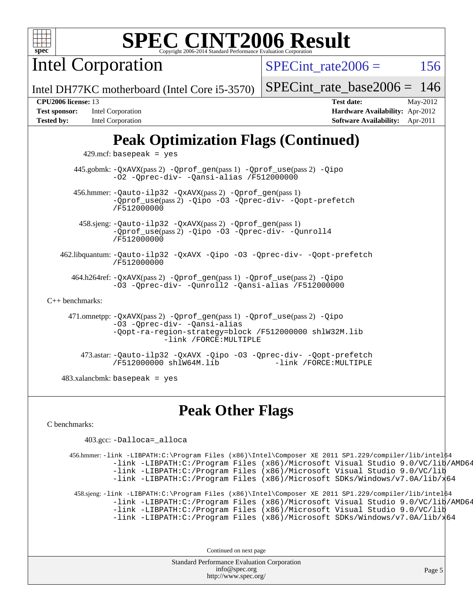

Intel Corporation

SPECint rate $2006 = 156$ 

Intel DH77KC motherboard (Intel Core i5-3570)

#### **[CPU2006 license:](http://www.spec.org/auto/cpu2006/Docs/result-fields.html#CPU2006license)** 13 **[Test date:](http://www.spec.org/auto/cpu2006/Docs/result-fields.html#Testdate)** May-2012

| <b>Test sponsor:</b> | Intel Corporation        |
|----------------------|--------------------------|
| <b>Tested by:</b>    | <b>Intel Corporation</b> |

[SPECint\\_rate\\_base2006 =](http://www.spec.org/auto/cpu2006/Docs/result-fields.html#SPECintratebase2006) 146

**[Hardware Availability:](http://www.spec.org/auto/cpu2006/Docs/result-fields.html#HardwareAvailability)** Apr-2012 **[Software Availability:](http://www.spec.org/auto/cpu2006/Docs/result-fields.html#SoftwareAvailability)** Apr-2011

# **[Peak Optimization Flags \(Continued\)](http://www.spec.org/auto/cpu2006/Docs/result-fields.html#PeakOptimizationFlags)**

 $429$ .mcf: basepeak = yes

 445.gobmk: [-QxAVX](http://www.spec.org/cpu2006/results/res2012q3/cpu2006-20120702-23377.flags.html#user_peakPASS2_CFLAGSPASS2_LDFLAGS445_gobmk_f-QxAVX)(pass 2) [-Qprof\\_gen](http://www.spec.org/cpu2006/results/res2012q3/cpu2006-20120702-23377.flags.html#user_peakPASS1_CFLAGSPASS1_LDFLAGS445_gobmk_Qprof_gen)(pass 1) [-Qprof\\_use](http://www.spec.org/cpu2006/results/res2012q3/cpu2006-20120702-23377.flags.html#user_peakPASS2_CFLAGSPASS2_LDFLAGS445_gobmk_Qprof_use)(pass 2) [-Qipo](http://www.spec.org/cpu2006/results/res2012q3/cpu2006-20120702-23377.flags.html#user_peakOPTIMIZE445_gobmk_f-Qipo) [-O2](http://www.spec.org/cpu2006/results/res2012q3/cpu2006-20120702-23377.flags.html#user_peakOPTIMIZE445_gobmk_f-O2) [-Qprec-div-](http://www.spec.org/cpu2006/results/res2012q3/cpu2006-20120702-23377.flags.html#user_peakOPTIMIZE445_gobmk_f-Qprec-div-) [-Qansi-alias](http://www.spec.org/cpu2006/results/res2012q3/cpu2006-20120702-23377.flags.html#user_peakOPTIMIZE445_gobmk_f-Qansi-alias) [/F512000000](http://www.spec.org/cpu2006/results/res2012q3/cpu2006-20120702-23377.flags.html#user_peakEXTRA_LDFLAGS445_gobmk_set_stack_space_98438a10eb60aa5f35f4c79d9b9b27b1)

 456.hmmer: [-Qauto-ilp32](http://www.spec.org/cpu2006/results/res2012q3/cpu2006-20120702-23377.flags.html#user_peakCCLD456_hmmer_f-Qauto-ilp32) [-QxAVX](http://www.spec.org/cpu2006/results/res2012q3/cpu2006-20120702-23377.flags.html#user_peakPASS2_CFLAGSPASS2_LDFLAGS456_hmmer_f-QxAVX)(pass 2) [-Qprof\\_gen](http://www.spec.org/cpu2006/results/res2012q3/cpu2006-20120702-23377.flags.html#user_peakPASS1_CFLAGSPASS1_LDFLAGS456_hmmer_Qprof_gen)(pass 1) [-Qprof\\_use](http://www.spec.org/cpu2006/results/res2012q3/cpu2006-20120702-23377.flags.html#user_peakPASS2_CFLAGSPASS2_LDFLAGS456_hmmer_Qprof_use)(pass 2) [-Qipo](http://www.spec.org/cpu2006/results/res2012q3/cpu2006-20120702-23377.flags.html#user_peakOPTIMIZE456_hmmer_f-Qipo) [-O3](http://www.spec.org/cpu2006/results/res2012q3/cpu2006-20120702-23377.flags.html#user_peakOPTIMIZE456_hmmer_f-O3) [-Qprec-div-](http://www.spec.org/cpu2006/results/res2012q3/cpu2006-20120702-23377.flags.html#user_peakOPTIMIZE456_hmmer_f-Qprec-div-) [-Qopt-prefetch](http://www.spec.org/cpu2006/results/res2012q3/cpu2006-20120702-23377.flags.html#user_peakOPTIMIZE456_hmmer_f-Qprefetch_37c211608666b9dff9380561f602f0a8) [/F512000000](http://www.spec.org/cpu2006/results/res2012q3/cpu2006-20120702-23377.flags.html#user_peakEXTRA_LDFLAGS456_hmmer_set_stack_space_98438a10eb60aa5f35f4c79d9b9b27b1)

 458.sjeng: [-Qauto-ilp32](http://www.spec.org/cpu2006/results/res2012q3/cpu2006-20120702-23377.flags.html#user_peakCCLD458_sjeng_f-Qauto-ilp32) [-QxAVX](http://www.spec.org/cpu2006/results/res2012q3/cpu2006-20120702-23377.flags.html#user_peakPASS2_CFLAGSPASS2_LDFLAGS458_sjeng_f-QxAVX)(pass 2) [-Qprof\\_gen](http://www.spec.org/cpu2006/results/res2012q3/cpu2006-20120702-23377.flags.html#user_peakPASS1_CFLAGSPASS1_LDFLAGS458_sjeng_Qprof_gen)(pass 1) [-Qprof\\_use](http://www.spec.org/cpu2006/results/res2012q3/cpu2006-20120702-23377.flags.html#user_peakPASS2_CFLAGSPASS2_LDFLAGS458_sjeng_Qprof_use)(pass 2) [-Qipo](http://www.spec.org/cpu2006/results/res2012q3/cpu2006-20120702-23377.flags.html#user_peakOPTIMIZE458_sjeng_f-Qipo) [-O3](http://www.spec.org/cpu2006/results/res2012q3/cpu2006-20120702-23377.flags.html#user_peakOPTIMIZE458_sjeng_f-O3) [-Qprec-div-](http://www.spec.org/cpu2006/results/res2012q3/cpu2006-20120702-23377.flags.html#user_peakOPTIMIZE458_sjeng_f-Qprec-div-) [-Qunroll4](http://www.spec.org/cpu2006/results/res2012q3/cpu2006-20120702-23377.flags.html#user_peakOPTIMIZE458_sjeng_f-Qunroll_013b1c0ea3aa84ef2c65e488bcc3d968) [/F512000000](http://www.spec.org/cpu2006/results/res2012q3/cpu2006-20120702-23377.flags.html#user_peakEXTRA_LDFLAGS458_sjeng_set_stack_space_98438a10eb60aa5f35f4c79d9b9b27b1)

 462.libquantum: [-Qauto-ilp32](http://www.spec.org/cpu2006/results/res2012q3/cpu2006-20120702-23377.flags.html#user_peakCCLD462_libquantum_f-Qauto-ilp32) [-QxAVX](http://www.spec.org/cpu2006/results/res2012q3/cpu2006-20120702-23377.flags.html#user_peakOPTIMIZE462_libquantum_f-QxAVX) [-Qipo](http://www.spec.org/cpu2006/results/res2012q3/cpu2006-20120702-23377.flags.html#user_peakOPTIMIZE462_libquantum_f-Qipo) [-O3](http://www.spec.org/cpu2006/results/res2012q3/cpu2006-20120702-23377.flags.html#user_peakOPTIMIZE462_libquantum_f-O3) [-Qprec-div-](http://www.spec.org/cpu2006/results/res2012q3/cpu2006-20120702-23377.flags.html#user_peakOPTIMIZE462_libquantum_f-Qprec-div-) [-Qopt-prefetch](http://www.spec.org/cpu2006/results/res2012q3/cpu2006-20120702-23377.flags.html#user_peakOPTIMIZE462_libquantum_f-Qprefetch_37c211608666b9dff9380561f602f0a8) [/F512000000](http://www.spec.org/cpu2006/results/res2012q3/cpu2006-20120702-23377.flags.html#user_peakEXTRA_LDFLAGS462_libquantum_set_stack_space_98438a10eb60aa5f35f4c79d9b9b27b1)

 464.h264ref: [-QxAVX](http://www.spec.org/cpu2006/results/res2012q3/cpu2006-20120702-23377.flags.html#user_peakPASS2_CFLAGSPASS2_LDFLAGS464_h264ref_f-QxAVX)(pass 2) [-Qprof\\_gen](http://www.spec.org/cpu2006/results/res2012q3/cpu2006-20120702-23377.flags.html#user_peakPASS1_CFLAGSPASS1_LDFLAGS464_h264ref_Qprof_gen)(pass 1) [-Qprof\\_use](http://www.spec.org/cpu2006/results/res2012q3/cpu2006-20120702-23377.flags.html#user_peakPASS2_CFLAGSPASS2_LDFLAGS464_h264ref_Qprof_use)(pass 2) [-Qipo](http://www.spec.org/cpu2006/results/res2012q3/cpu2006-20120702-23377.flags.html#user_peakOPTIMIZE464_h264ref_f-Qipo) [-O3](http://www.spec.org/cpu2006/results/res2012q3/cpu2006-20120702-23377.flags.html#user_peakOPTIMIZE464_h264ref_f-O3) [-Qprec-div-](http://www.spec.org/cpu2006/results/res2012q3/cpu2006-20120702-23377.flags.html#user_peakOPTIMIZE464_h264ref_f-Qprec-div-) [-Qunroll2](http://www.spec.org/cpu2006/results/res2012q3/cpu2006-20120702-23377.flags.html#user_peakOPTIMIZE464_h264ref_f-Qunroll_1d9456aa650e77fc2a0cf43cef3fa08c) [-Qansi-alias](http://www.spec.org/cpu2006/results/res2012q3/cpu2006-20120702-23377.flags.html#user_peakOPTIMIZE464_h264ref_f-Qansi-alias) [/F512000000](http://www.spec.org/cpu2006/results/res2012q3/cpu2006-20120702-23377.flags.html#user_peakEXTRA_LDFLAGS464_h264ref_set_stack_space_98438a10eb60aa5f35f4c79d9b9b27b1)

#### [C++ benchmarks:](http://www.spec.org/auto/cpu2006/Docs/result-fields.html#CXXbenchmarks)

 471.omnetpp: [-QxAVX](http://www.spec.org/cpu2006/results/res2012q3/cpu2006-20120702-23377.flags.html#user_peakPASS2_CXXFLAGSPASS2_LDFLAGS471_omnetpp_f-QxAVX)(pass 2) [-Qprof\\_gen](http://www.spec.org/cpu2006/results/res2012q3/cpu2006-20120702-23377.flags.html#user_peakPASS1_CXXFLAGSPASS1_LDFLAGS471_omnetpp_Qprof_gen)(pass 1) [-Qprof\\_use](http://www.spec.org/cpu2006/results/res2012q3/cpu2006-20120702-23377.flags.html#user_peakPASS2_CXXFLAGSPASS2_LDFLAGS471_omnetpp_Qprof_use)(pass 2) [-Qipo](http://www.spec.org/cpu2006/results/res2012q3/cpu2006-20120702-23377.flags.html#user_peakOPTIMIZE471_omnetpp_f-Qipo) [-O3](http://www.spec.org/cpu2006/results/res2012q3/cpu2006-20120702-23377.flags.html#user_peakOPTIMIZE471_omnetpp_f-O3) [-Qprec-div-](http://www.spec.org/cpu2006/results/res2012q3/cpu2006-20120702-23377.flags.html#user_peakOPTIMIZE471_omnetpp_f-Qprec-div-) [-Qansi-alias](http://www.spec.org/cpu2006/results/res2012q3/cpu2006-20120702-23377.flags.html#user_peakOPTIMIZE471_omnetpp_f-Qansi-alias) [-Qopt-ra-region-strategy=block](http://www.spec.org/cpu2006/results/res2012q3/cpu2006-20120702-23377.flags.html#user_peakOPTIMIZE471_omnetpp_f-Qopt-ra-region-strategy_d2240e80a5d9053a1fd400255dbf4159) [/F512000000](http://www.spec.org/cpu2006/results/res2012q3/cpu2006-20120702-23377.flags.html#user_peakEXTRA_LDFLAGS471_omnetpp_set_stack_space_98438a10eb60aa5f35f4c79d9b9b27b1) [shlW32M.lib](http://www.spec.org/cpu2006/results/res2012q3/cpu2006-20120702-23377.flags.html#user_peakEXTRA_LIBS471_omnetpp_SmartHeap32_d106338dfda1a055705c9b519e07f096)  [-link /FORCE:MULTIPLE](http://www.spec.org/cpu2006/results/res2012q3/cpu2006-20120702-23377.flags.html#user_peakLDOUT471_omnetpp_link_force_multiple2_070fe330869edf77077b841074b8b0b6)

 473.astar: [-Qauto-ilp32](http://www.spec.org/cpu2006/results/res2012q3/cpu2006-20120702-23377.flags.html#user_peakCXXLD473_astar_f-Qauto-ilp32) [-QxAVX](http://www.spec.org/cpu2006/results/res2012q3/cpu2006-20120702-23377.flags.html#user_peakOPTIMIZE473_astar_f-QxAVX) [-Qipo](http://www.spec.org/cpu2006/results/res2012q3/cpu2006-20120702-23377.flags.html#user_peakOPTIMIZE473_astar_f-Qipo) [-O3](http://www.spec.org/cpu2006/results/res2012q3/cpu2006-20120702-23377.flags.html#user_peakOPTIMIZE473_astar_f-O3) [-Qprec-div-](http://www.spec.org/cpu2006/results/res2012q3/cpu2006-20120702-23377.flags.html#user_peakOPTIMIZE473_astar_f-Qprec-div-) [-Qopt-prefetch](http://www.spec.org/cpu2006/results/res2012q3/cpu2006-20120702-23377.flags.html#user_peakOPTIMIZE473_astar_f-Qprefetch_37c211608666b9dff9380561f602f0a8) [/F512000000](http://www.spec.org/cpu2006/results/res2012q3/cpu2006-20120702-23377.flags.html#user_peakEXTRA_LDFLAGS473_astar_set_stack_space_98438a10eb60aa5f35f4c79d9b9b27b1) [shlW64M.lib](http://www.spec.org/cpu2006/results/res2012q3/cpu2006-20120702-23377.flags.html#user_peakEXTRA_LIBS473_astar_SmartHeap64_c4f7f76711bdf8c0633a5c1edf6e5396)

483.xalancbmk: basepeak = yes

### **[Peak Other Flags](http://www.spec.org/auto/cpu2006/Docs/result-fields.html#PeakOtherFlags)**

[C benchmarks](http://www.spec.org/auto/cpu2006/Docs/result-fields.html#Cbenchmarks):

403.gcc: [-Dalloca=\\_alloca](http://www.spec.org/cpu2006/results/res2012q3/cpu2006-20120702-23377.flags.html#b403.gcc_peakEXTRA_CFLAGS_Dalloca_be3056838c12de2578596ca5467af7f3)

 456.hmmer: [-link -LIBPATH:C:\Program Files \(x86\)\Intel\Composer XE 2011 SP1.229/compiler/lib/intel64](http://www.spec.org/cpu2006/results/res2012q3/cpu2006-20120702-23377.flags.html#user_peakLDOUT456_hmmer_intel_compiler_64bit_lib_dir_577a5fc4f4ebd1fdf8ec58f1d5e11ac0) [-link -LIBPATH:C:/Program Files \(x86\)/Microsoft Visual Studio 9.0/VC/lib/AMD64](http://www.spec.org/cpu2006/results/res2012q3/cpu2006-20120702-23377.flags.html#user_peakLDOUT456_hmmer_ms_vs_compiler_64bit_lib_dir_edc67b23e7044cac0b6ec7b7e52573f3) [-link -LIBPATH:C:/Program Files \(x86\)/Microsoft Visual Studio 9.0/VC/lib](http://www.spec.org/cpu2006/results/res2012q3/cpu2006-20120702-23377.flags.html#user_peakLDOUT456_hmmer_ms_vs_compiler_lib_dir_11a68851a8393af566e203f4eec9c056) [-link -LIBPATH:C:/Program Files \(x86\)/Microsoft SDKs/Windows/v7.0A/lib/x64](http://www.spec.org/cpu2006/results/res2012q3/cpu2006-20120702-23377.flags.html#user_peakLDOUT456_hmmer_ms_vs_compiler_additional_lib_dir_19b6c1f1999303eedd16ace390b0da4d) 458.sjeng: [-link -LIBPATH:C:\Program Files \(x86\)\Intel\Composer XE 2011 SP1.229/compiler/lib/intel64](http://www.spec.org/cpu2006/results/res2012q3/cpu2006-20120702-23377.flags.html#user_peakLDOUT458_sjeng_intel_compiler_64bit_lib_dir_577a5fc4f4ebd1fdf8ec58f1d5e11ac0) [-link -LIBPATH:C:/Program Files \(x86\)/Microsoft Visual Studio 9.0/VC/lib/AMD64](http://www.spec.org/cpu2006/results/res2012q3/cpu2006-20120702-23377.flags.html#user_peakLDOUT458_sjeng_ms_vs_compiler_64bit_lib_dir_edc67b23e7044cac0b6ec7b7e52573f3) [-link -LIBPATH:C:/Program Files \(x86\)/Microsoft Visual Studio 9.0/VC/lib](http://www.spec.org/cpu2006/results/res2012q3/cpu2006-20120702-23377.flags.html#user_peakLDOUT458_sjeng_ms_vs_compiler_lib_dir_11a68851a8393af566e203f4eec9c056)

[-link -LIBPATH:C:/Program Files \(x86\)/Microsoft SDKs/Windows/v7.0A/lib/x64](http://www.spec.org/cpu2006/results/res2012q3/cpu2006-20120702-23377.flags.html#user_peakLDOUT458_sjeng_ms_vs_compiler_additional_lib_dir_19b6c1f1999303eedd16ace390b0da4d)

Continued on next page

Standard Performance Evaluation Corporation [info@spec.org](mailto:info@spec.org) <http://www.spec.org/>

Page 5